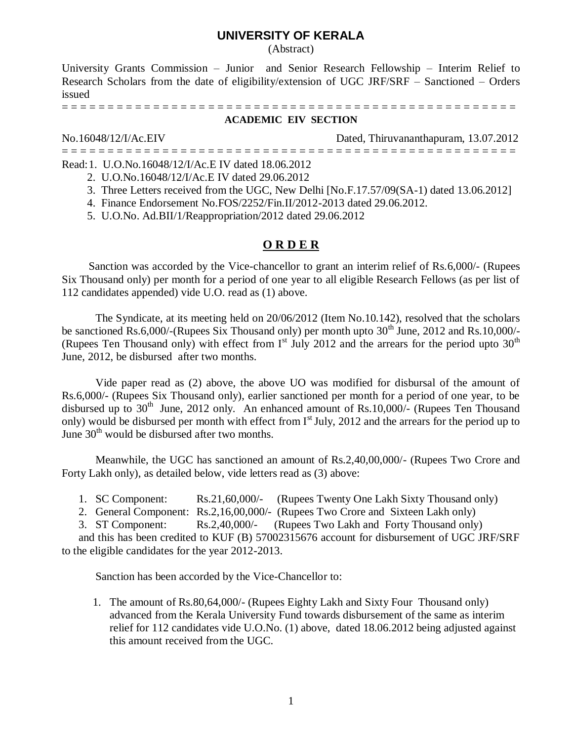## **UNIVERSITY OF KERALA**

(Abstract)

University Grants Commission – Junior and Senior Research Fellowship – Interim Relief to Research Scholars from the date of eligibility/extension of UGC JRF/SRF – Sanctioned – Orders issued

= = = = = = = = = = = = = = = = = = = = = = = = = = = = = = = = = = = = = = = = = = = = = = = = = =

#### **ACADEMIC EIV SECTION**

No.16048/12/I/Ac.EIV Dated, Thiruvananthapuram, 13.07.2012

= = = = = = = = = = = = = = = = = = = = = = = = = = = = = = = = = = = = = = = = = = = = = = = = = =

- Read:1. U.O.No.16048/12/I/Ac.E IV dated 18.06.2012
	- 2. U.O.No.16048/12/I/Ac.E IV dated 29.06.2012
	- 3. Three Letters received from the UGC, New Delhi [No.F.17.57/09(SA-1) dated 13.06.2012]
	- 4. Finance Endorsement No.FOS/2252/Fin.II/2012-2013 dated 29.06.2012.
	- 5. U.O.No. Ad.BII/1/Reappropriation/2012 dated 29.06.2012

### **O R D E R**

Sanction was accorded by the Vice-chancellor to grant an interim relief of Rs.6,000/- (Rupees Six Thousand only) per month for a period of one year to all eligible Research Fellows (as per list of 112 candidates appended) vide U.O. read as (1) above.

The Syndicate, at its meeting held on 20/06/2012 (Item No.10.142), resolved that the scholars be sanctioned Rs.6,000/-(Rupees Six Thousand only) per month upto  $30<sup>th</sup>$  June, 2012 and Rs.10,000/-(Rupees Ten Thousand only) with effect from  $I<sup>st</sup>$  July 2012 and the arrears for the period upto 30<sup>th</sup> June, 2012, be disbursed after two months.

Vide paper read as (2) above, the above UO was modified for disbursal of the amount of Rs.6,000/- (Rupees Six Thousand only), earlier sanctioned per month for a period of one year, to be disbursed up to  $30<sup>th</sup>$  June, 2012 only. An enhanced amount of Rs.10,000/- (Rupees Ten Thousand only) would be disbursed per month with effect from  $I<sup>st</sup>$  July, 2012 and the arrears for the period up to June  $30<sup>th</sup>$  would be disbursed after two months.

Meanwhile, the UGC has sanctioned an amount of Rs.2,40,00,000/- (Rupees Two Crore and Forty Lakh only), as detailed below, vide letters read as (3) above:

1. SC Component: Rs.21,60,000/- (Rupees Twenty One Lakh Sixty Thousand only)

2. General Component: Rs.2,16,00,000/- (Rupees Two Crore and Sixteen Lakh only)

3. ST Component: Rs.2,40,000/- (Rupees Two Lakh and Forty Thousand only)

and this has been credited to KUF (B) 57002315676 account for disbursement of UGC JRF/SRF to the eligible candidates for the year 2012-2013.

Sanction has been accorded by the Vice-Chancellor to:

1. The amount of Rs.80,64,000/- (Rupees Eighty Lakh and Sixty Four Thousand only) advanced from the Kerala University Fund towards disbursement of the same as interim relief for 112 candidates vide U.O.No. (1) above, dated 18.06.2012 being adjusted against this amount received from the UGC.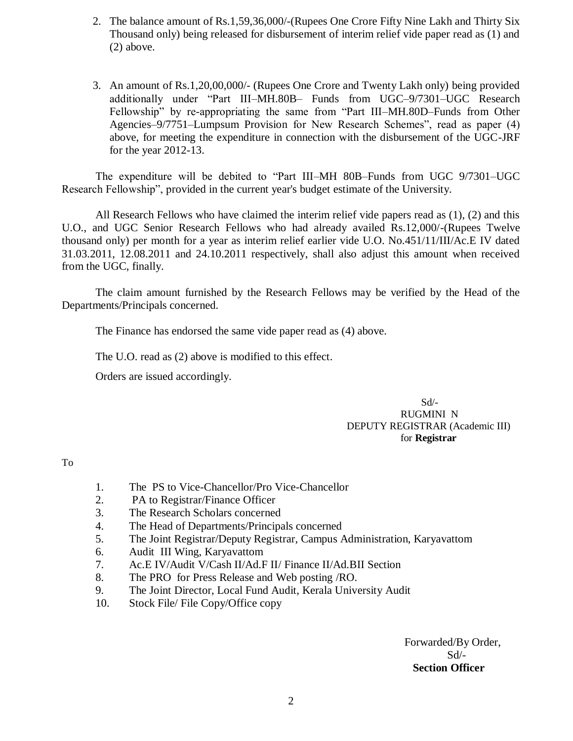- 2. The balance amount of Rs.1,59,36,000/-(Rupees One Crore Fifty Nine Lakh and Thirty Six Thousand only) being released for disbursement of interim relief vide paper read as (1) and (2) above.
- 3. An amount of Rs.1,20,00,000/- (Rupees One Crore and Twenty Lakh only) being provided additionally under "Part III–MH.80B– Funds from UGC–9/7301–UGC Research Fellowship" by re-appropriating the same from "Part III–MH.80D–Funds from Other Agencies–9/7751–Lumpsum Provision for New Research Schemes", read as paper (4) above, for meeting the expenditure in connection with the disbursement of the UGC-JRF for the year 2012-13.

The expenditure will be debited to "Part III–MH 80B–Funds from UGC 9/7301–UGC Research Fellowship", provided in the current year's budget estimate of the University.

All Research Fellows who have claimed the interim relief vide papers read as  $(1)$ ,  $(2)$  and this U.O., and UGC Senior Research Fellows who had already availed Rs.12,000/-(Rupees Twelve thousand only) per month for a year as interim relief earlier vide U.O. No.451/11/III/Ac.E IV dated 31.03.2011, 12.08.2011 and 24.10.2011 respectively, shall also adjust this amount when received from the UGC, finally.

The claim amount furnished by the Research Fellows may be verified by the Head of the Departments/Principals concerned.

The Finance has endorsed the same vide paper read as (4) above.

The U.O. read as (2) above is modified to this effect.

Orders are issued accordingly.

 Sd/- RUGMINI N DEPUTY REGISTRAR (Academic III) for **Registrar**

To

- 1. The PS to Vice-Chancellor/Pro Vice-Chancellor
- 2. PA to Registrar/Finance Officer
- 3. The Research Scholars concerned
- 4. The Head of Departments/Principals concerned
- 5. The Joint Registrar/Deputy Registrar, Campus Administration, Karyavattom
- 6. Audit III Wing, Karyavattom
- 7. Ac.E IV/Audit V/Cash II/Ad.F II/ Finance II/Ad.BII Section
- 8. The PRO for Press Release and Web posting /RO.
- 9. The Joint Director, Local Fund Audit, Kerala University Audit
- 10. Stock File/ File Copy/Office copy

 Forwarded/By Order, Sd/-  **Section Officer**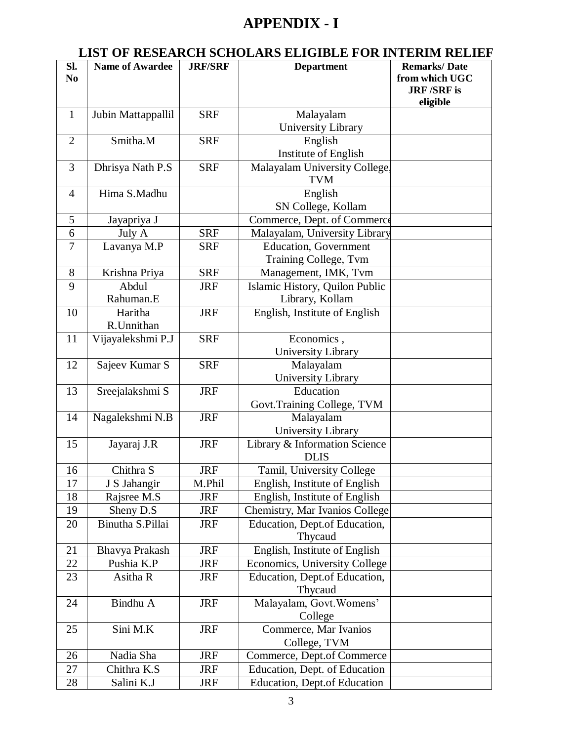# **APPENDIX - I**

## **LIST OF RESEARCH SCHOLARS ELIGIBLE FOR INTERIM RELIEF**

| Sl.            | <b>Name of Awardee</b> | <b>JRF/SRF</b> | <b>Department</b>                   | <b>Remarks/Date</b> |
|----------------|------------------------|----------------|-------------------------------------|---------------------|
| N <sub>0</sub> |                        |                |                                     | from which UGC      |
|                |                        |                |                                     | <b>JRF/SRF</b> is   |
|                |                        |                |                                     | eligible            |
| $\mathbf{1}$   | Jubin Mattappallil     | <b>SRF</b>     | Malayalam                           |                     |
|                |                        |                | University Library                  |                     |
| $\overline{2}$ | Smitha.M               | <b>SRF</b>     |                                     |                     |
|                |                        |                | English                             |                     |
|                |                        |                | Institute of English                |                     |
| 3              | Dhrisya Nath P.S       | <b>SRF</b>     | Malayalam University College,       |                     |
|                |                        |                | <b>TVM</b>                          |                     |
| $\overline{4}$ | Hima S.Madhu           |                | English                             |                     |
|                |                        |                | SN College, Kollam                  |                     |
| 5              | Jayapriya J            |                | Commerce, Dept. of Commerce         |                     |
| 6              | July A                 | <b>SRF</b>     | Malayalam, University Library       |                     |
| $\tau$         | Lavanya M.P            | <b>SRF</b>     | <b>Education</b> , Government       |                     |
|                |                        |                | Training College, Tvm               |                     |
| 8              | Krishna Priya          | <b>SRF</b>     | Management, IMK, Tvm                |                     |
| 9              | Abdul                  | <b>JRF</b>     | Islamic History, Quilon Public      |                     |
|                | Rahuman.E              |                | Library, Kollam                     |                     |
| 10             | Haritha                | <b>JRF</b>     | English, Institute of English       |                     |
|                | R.Unnithan             |                |                                     |                     |
| 11             | Vijayalekshmi P.J      | <b>SRF</b>     | Economics,                          |                     |
|                |                        |                | <b>University Library</b>           |                     |
| 12             | Sajeev Kumar S         | <b>SRF</b>     | Malayalam                           |                     |
|                |                        |                | University Library                  |                     |
| 13             | Sreejalakshmi S        | <b>JRF</b>     | Education                           |                     |
|                |                        |                | Govt. Training College, TVM         |                     |
| 14             | Nagalekshmi N.B        | <b>JRF</b>     | Malayalam                           |                     |
|                |                        |                | University Library                  |                     |
| 15             | Jayaraj J.R            | <b>JRF</b>     | Library & Information Science       |                     |
|                |                        |                | <b>DLIS</b>                         |                     |
|                | Chithra S              |                |                                     |                     |
| 16             |                        | <b>JRF</b>     | Tamil, University College           |                     |
| 17             | J S Jahangir           | M.Phil         | English, Institute of English       |                     |
| 18             | Rajsree M.S            | <b>JRF</b>     | English, Institute of English       |                     |
| 19             | Sheny D.S              | <b>JRF</b>     | Chemistry, Mar Ivanios College      |                     |
| 20             | Binutha S.Pillai       | <b>JRF</b>     | Education, Dept.of Education,       |                     |
|                |                        |                | Thycaud                             |                     |
| 21             | Bhavya Prakash         | <b>JRF</b>     | English, Institute of English       |                     |
| 22             | Pushia K.P             | <b>JRF</b>     | Economics, University College       |                     |
| 23             | Asitha R               | <b>JRF</b>     | Education, Dept.of Education,       |                     |
|                |                        |                | Thycaud                             |                     |
| 24             | Bindhu A               | <b>JRF</b>     | Malayalam, Govt. Womens'            |                     |
|                |                        |                | College                             |                     |
| 25             | Sini M.K               | <b>JRF</b>     | Commerce, Mar Ivanios               |                     |
|                |                        |                | College, TVM                        |                     |
| 26             | Nadia Sha              | <b>JRF</b>     | Commerce, Dept.of Commerce          |                     |
| 27             | Chithra K.S            | <b>JRF</b>     | Education, Dept. of Education       |                     |
| 28             | Salini K.J             | <b>JRF</b>     | <b>Education, Dept.of Education</b> |                     |
|                |                        |                |                                     |                     |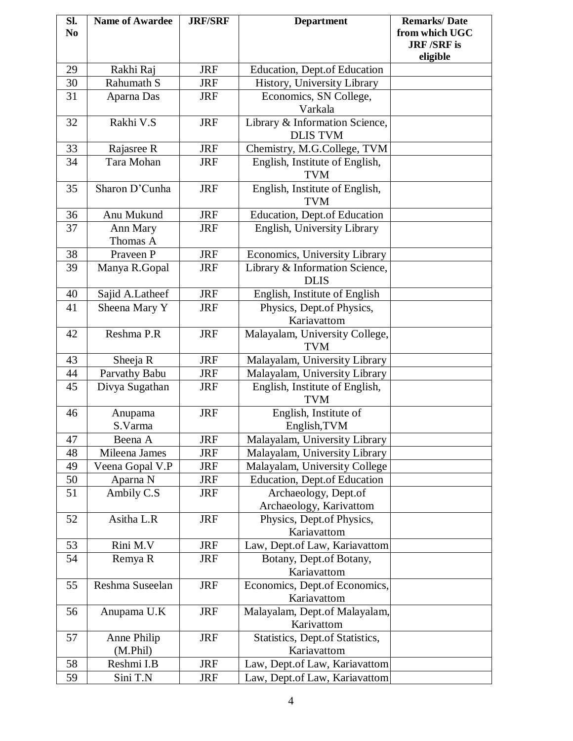| Sl.            | <b>Name of Awardee</b> | <b>JRF/SRF</b> | <b>Department</b>                                          | <b>Remarks/Date</b>           |
|----------------|------------------------|----------------|------------------------------------------------------------|-------------------------------|
| N <sub>0</sub> |                        |                |                                                            | from which UGC                |
|                |                        |                |                                                            | <b>JRF/SRF</b> is<br>eligible |
| 29             | Rakhi Raj              | <b>JRF</b>     | <b>Education, Dept.of Education</b>                        |                               |
| 30             | Rahumath S             | <b>JRF</b>     | History, University Library                                |                               |
| 31             | Aparna Das             | <b>JRF</b>     | Economics, SN College,                                     |                               |
|                |                        |                | Varkala                                                    |                               |
| 32             | Rakhi V.S              | <b>JRF</b>     | Library & Information Science,                             |                               |
|                |                        |                | <b>DLIS TVM</b>                                            |                               |
| 33             | Rajasree R             | <b>JRF</b>     | Chemistry, M.G.College, TVM                                |                               |
| 34             | Tara Mohan             | <b>JRF</b>     | English, Institute of English,                             |                               |
|                |                        |                | <b>TVM</b>                                                 |                               |
| 35             | Sharon D'Cunha         | <b>JRF</b>     | English, Institute of English,                             |                               |
|                |                        |                | <b>TVM</b>                                                 |                               |
| 36             | Anu Mukund             | <b>JRF</b>     | <b>Education, Dept.of Education</b>                        |                               |
| 37             | Ann Mary               | <b>JRF</b>     | English, University Library                                |                               |
|                | Thomas A               |                |                                                            |                               |
| 38             | Praveen P              | <b>JRF</b>     | Economics, University Library                              |                               |
| 39             | Manya R.Gopal          | <b>JRF</b>     | Library & Information Science,<br><b>DLIS</b>              |                               |
| 40             | Sajid A.Latheef        | <b>JRF</b>     |                                                            |                               |
| 41             | Sheena Mary Y          | <b>JRF</b>     | English, Institute of English<br>Physics, Dept.of Physics, |                               |
|                |                        |                | Kariavattom                                                |                               |
| 42             | Reshma P.R             | <b>JRF</b>     | Malayalam, University College,                             |                               |
|                |                        |                | <b>TVM</b>                                                 |                               |
| 43             | Sheeja R               | <b>JRF</b>     | Malayalam, University Library                              |                               |
| 44             | Parvathy Babu          | <b>JRF</b>     | Malayalam, University Library                              |                               |
| 45             | Divya Sugathan         | <b>JRF</b>     | English, Institute of English,                             |                               |
|                |                        |                | <b>TVM</b>                                                 |                               |
| 46             | Anupama                | <b>JRF</b>     | English, Institute of                                      |                               |
|                | S.Varma                |                | English, TVM                                               |                               |
| 47             | Beena A                | <b>JRF</b>     | Malayalam, University Library                              |                               |
| 48             | Mileena James          | <b>JRF</b>     | Malayalam, University Library                              |                               |
| 49             | Veena Gopal V.P        | <b>JRF</b>     | Malayalam, University College                              |                               |
| 50             | Aparna N               | JRF            | <b>Education, Dept.of Education</b>                        |                               |
| 51             | Ambily C.S             | <b>JRF</b>     | Archaeology, Dept.of                                       |                               |
|                |                        |                | Archaeology, Karivattom                                    |                               |
| 52             | Asitha L.R             | <b>JRF</b>     | Physics, Dept.of Physics,                                  |                               |
|                |                        |                | Kariavattom                                                |                               |
| 53             | Rini M.V               | <b>JRF</b>     | Law, Dept.of Law, Kariavattom                              |                               |
| 54             | Remya R                | <b>JRF</b>     | Botany, Dept.of Botany,<br>Kariavattom                     |                               |
| 55             | Reshma Suseelan        | <b>JRF</b>     | Economics, Dept.of Economics,                              |                               |
|                |                        |                | Kariavattom                                                |                               |
| 56             | Anupama U.K            | <b>JRF</b>     | Malayalam, Dept.of Malayalam,                              |                               |
|                |                        |                | Karivattom                                                 |                               |
| 57             | Anne Philip            | <b>JRF</b>     | Statistics, Dept.of Statistics,                            |                               |
|                | (M.Phil)               |                | Kariavattom                                                |                               |
| 58             | Reshmi I.B             | <b>JRF</b>     | Law, Dept.of Law, Kariavattom                              |                               |
| 59             | Sini T.N               | <b>JRF</b>     | Law, Dept.of Law, Kariavattom                              |                               |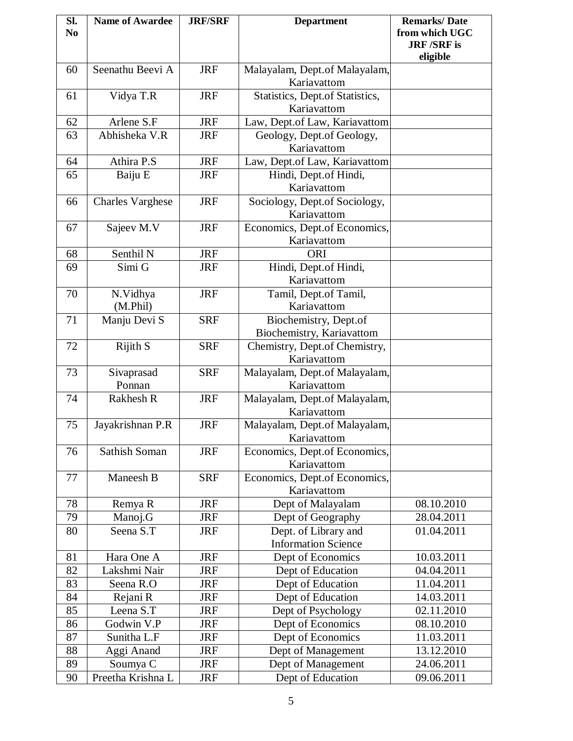| SI.            | <b>Name of Awardee</b>  | <b>JRF/SRF</b> | <b>Department</b>                            | <b>Remarks/Date</b>                 |
|----------------|-------------------------|----------------|----------------------------------------------|-------------------------------------|
| N <sub>0</sub> |                         |                |                                              | from which UGC<br><b>JRF/SRF</b> is |
|                |                         |                |                                              | eligible                            |
| 60             | Seenathu Beevi A        | <b>JRF</b>     | Malayalam, Dept.of Malayalam,                |                                     |
|                |                         |                | Kariavattom                                  |                                     |
| 61             | Vidya T.R               | <b>JRF</b>     | Statistics, Dept.of Statistics,              |                                     |
|                |                         |                | Kariavattom                                  |                                     |
| 62             | Arlene S.F              | <b>JRF</b>     | Law, Dept.of Law, Kariavattom                |                                     |
| 63             | Abhisheka V.R           | <b>JRF</b>     | Geology, Dept.of Geology,                    |                                     |
|                |                         |                | Kariavattom                                  |                                     |
| 64             | Athira P.S              | <b>JRF</b>     | Law, Dept.of Law, Kariavattom                |                                     |
| 65             | Baiju E                 | <b>JRF</b>     | Hindi, Dept.of Hindi,                        |                                     |
|                |                         |                | Kariavattom                                  |                                     |
| 66             | <b>Charles Varghese</b> | <b>JRF</b>     | Sociology, Dept.of Sociology,                |                                     |
|                |                         |                | Kariavattom                                  |                                     |
| 67             | Sajeev M.V              | <b>JRF</b>     | Economics, Dept.of Economics,                |                                     |
|                |                         |                | Kariavattom                                  |                                     |
| 68             | Senthil <sub>N</sub>    | <b>JRF</b>     | <b>ORI</b>                                   |                                     |
| 69             | Simi G                  | <b>JRF</b>     | Hindi, Dept.of Hindi,                        |                                     |
|                |                         |                | Kariavattom                                  |                                     |
| 70             | N.Vidhya                | <b>JRF</b>     | Tamil, Dept.of Tamil,                        |                                     |
|                | (M.Phil)                |                | Kariavattom                                  |                                     |
| 71             | Manju Devi S            | <b>SRF</b>     | Biochemistry, Dept.of                        |                                     |
| 72             | Rijith $\overline{S}$   |                | Biochemistry, Kariavattom                    |                                     |
|                |                         | <b>SRF</b>     | Chemistry, Dept.of Chemistry,<br>Kariavattom |                                     |
| 73             | Sivaprasad              | <b>SRF</b>     | Malayalam, Dept.of Malayalam,                |                                     |
|                | Ponnan                  |                | Kariavattom                                  |                                     |
| 74             | Rakhesh R               | <b>JRF</b>     | Malayalam, Dept.of Malayalam,                |                                     |
|                |                         |                | Kariavattom                                  |                                     |
| 75             | Jayakrishnan P.R        | <b>JRF</b>     | Malayalam, Dept.of Malayalam,                |                                     |
|                |                         |                | Kariavattom                                  |                                     |
| 76             | Sathish Soman           | <b>JRF</b>     | Economics, Dept.of Economics,                |                                     |
|                |                         |                | Kariavattom                                  |                                     |
| 77             | Maneesh B               | <b>SRF</b>     | Economics, Dept.of Economics,                |                                     |
|                |                         |                | Kariavattom                                  |                                     |
| 78             | Remya R                 | <b>JRF</b>     | Dept of Malayalam                            | 08.10.2010                          |
| 79             | Manoj.G                 | <b>JRF</b>     | Dept of Geography                            | 28.04.2011                          |
| 80             | Seena S.T               | <b>JRF</b>     | Dept. of Library and                         | 01.04.2011                          |
|                |                         |                | <b>Information Science</b>                   |                                     |
| 81             | Hara One A              | <b>JRF</b>     | Dept of Economics                            | 10.03.2011                          |
| 82             | Lakshmi Nair            | <b>JRF</b>     | Dept of Education                            | 04.04.2011                          |
| 83             | Seena R.O               | <b>JRF</b>     | Dept of Education                            | 11.04.2011                          |
| 84             | Rejani R                | <b>JRF</b>     | Dept of Education                            | 14.03.2011                          |
| 85             | Leena S.T               | <b>JRF</b>     | Dept of Psychology                           | 02.11.2010                          |
| 86             | Godwin V.P              | <b>JRF</b>     | Dept of Economics                            | 08.10.2010                          |
| 87             | Sunitha L.F             | <b>JRF</b>     | Dept of Economics                            | 11.03.2011                          |
| 88             | Aggi Anand              | <b>JRF</b>     | Dept of Management                           | 13.12.2010                          |
| 89             | Soumya C                | <b>JRF</b>     | Dept of Management                           | 24.06.2011                          |
| 90             | Preetha Krishna L       | <b>JRF</b>     | Dept of Education                            | 09.06.2011                          |